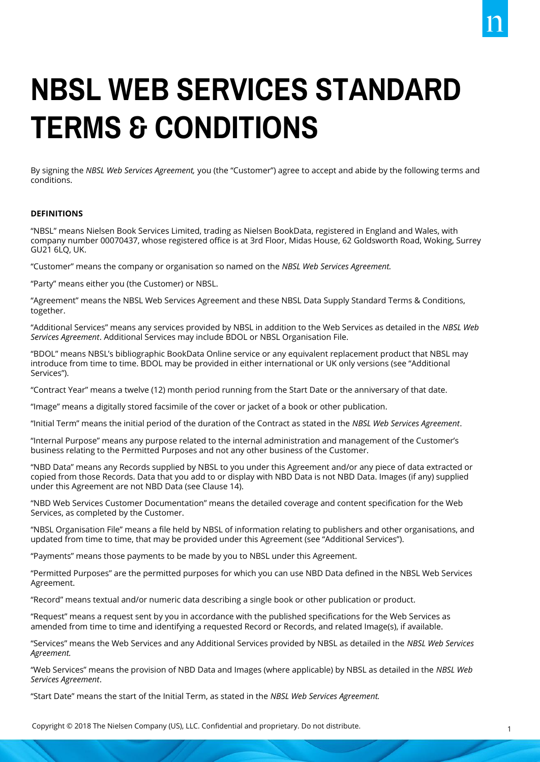# **NBSL WEB SERVICES STANDARD TERMS & CONDITIONS**

By signing the *NBSL Web Services Agreement,* you (the "Customer") agree to accept and abide by the following terms and conditions.

#### **DEFINITIONS**

"NBSL" means Nielsen Book Services Limited, trading as Nielsen BookData, registered in England and Wales, with company number 00070437, whose registered office is at 3rd Floor, Midas House, 62 Goldsworth Road, Woking, Surrey GU21 6LQ, UK.

"Customer" means the company or organisation so named on the *NBSL Web Services Agreement.* 

"Party" means either you (the Customer) or NBSL.

"Agreement" means the NBSL Web Services Agreement and these NBSL Data Supply Standard Terms & Conditions, together.

"Additional Services" means any services provided by NBSL in addition to the Web Services as detailed in the *NBSL Web Services Agreement*. Additional Services may include BDOL or NBSL Organisation File.

"BDOL" means NBSL's bibliographic BookData Online service or any equivalent replacement product that NBSL may introduce from time to time. BDOL may be provided in either international or UK only versions (see "Additional Services").

"Contract Year" means a twelve (12) month period running from the Start Date or the anniversary of that date.

"Image" means a digitally stored facsimile of the cover or jacket of a book or other publication.

"Initial Term" means the initial period of the duration of the Contract as stated in the *NBSL Web Services Agreement*.

"Internal Purpose" means any purpose related to the internal administration and management of the Customer's business relating to the Permitted Purposes and not any other business of the Customer.

"NBD Data" means any Records supplied by NBSL to you under this Agreement and/or any piece of data extracted or copied from those Records. Data that you add to or display with NBD Data is not NBD Data. Images (if any) supplied under this Agreement are not NBD Data (see Clause 14).

"NBD Web Services Customer Documentation" means the detailed coverage and content specification for the Web Services, as completed by the Customer.

"NBSL Organisation File" means a file held by NBSL of information relating to publishers and other organisations, and updated from time to time, that may be provided under this Agreement (see "Additional Services").

"Payments" means those payments to be made by you to NBSL under this Agreement.

"Permitted Purposes" are the permitted purposes for which you can use NBD Data defined in the NBSL Web Services Agreement.

"Record" means textual and/or numeric data describing a single book or other publication or product.

"Request" means a request sent by you in accordance with the published specifications for the Web Services as amended from time to time and identifying a requested Record or Records, and related Image(s), if available.

"Services" means the Web Services and any Additional Services provided by NBSL as detailed in the *NBSL Web Services Agreement.* 

"Web Services" means the provision of NBD Data and Images (where applicable) by NBSL as detailed in the *NBSL Web Services Agreement*.

"Start Date" means the start of the Initial Term, as stated in the *NBSL Web Services Agreement.*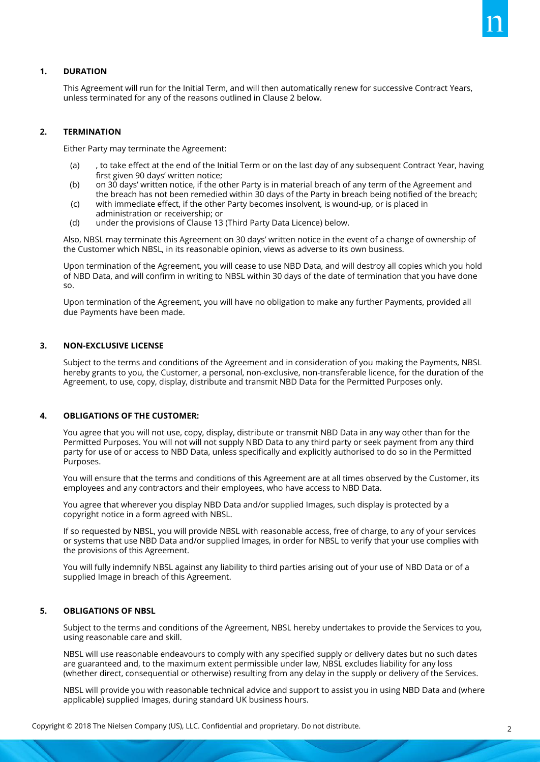

# **1. DURATION**

This Agreement will run for the Initial Term, and will then automatically renew for successive Contract Years, unless terminated for any of the reasons outlined in Clause 2 below.

# **2. TERMINATION**

Either Party may terminate the Agreement:

- (a) , to take effect at the end of the Initial Term or on the last day of any subsequent Contract Year, having first given 90 days' written notice;
- (b) on 30 days' written notice, if the other Party is in material breach of any term of the Agreement and the breach has not been remedied within 30 days of the Party in breach being notified of the breach;
- (c) with immediate effect, if the other Party becomes insolvent, is wound-up, or is placed in administration or receivership; or
- (d) under the provisions of Clause 13 (Third Party Data Licence) below.

Also, NBSL may terminate this Agreement on 30 days' written notice in the event of a change of ownership of the Customer which NBSL, in its reasonable opinion, views as adverse to its own business.

Upon termination of the Agreement, you will cease to use NBD Data, and will destroy all copies which you hold of NBD Data, and will confirm in writing to NBSL within 30 days of the date of termination that you have done so.

Upon termination of the Agreement, you will have no obligation to make any further Payments, provided all due Payments have been made.

#### **3. NON-EXCLUSIVE LICENSE**

Subject to the terms and conditions of the Agreement and in consideration of you making the Payments, NBSL hereby grants to you, the Customer, a personal, non-exclusive, non-transferable licence, for the duration of the Agreement, to use, copy, display, distribute and transmit NBD Data for the Permitted Purposes only.

# **4. OBLIGATIONS OF THE CUSTOMER:**

You agree that you will not use, copy, display, distribute or transmit NBD Data in any way other than for the Permitted Purposes. You will not will not supply NBD Data to any third party or seek payment from any third party for use of or access to NBD Data, unless specifically and explicitly authorised to do so in the Permitted Purposes.

You will ensure that the terms and conditions of this Agreement are at all times observed by the Customer, its employees and any contractors and their employees, who have access to NBD Data.

You agree that wherever you display NBD Data and/or supplied Images, such display is protected by a copyright notice in a form agreed with NBSL.

If so requested by NBSL, you will provide NBSL with reasonable access, free of charge, to any of your services or systems that use NBD Data and/or supplied Images, in order for NBSL to verify that your use complies with the provisions of this Agreement.

You will fully indemnify NBSL against any liability to third parties arising out of your use of NBD Data or of a supplied Image in breach of this Agreement.

# **5. OBLIGATIONS OF NBSL**

Subject to the terms and conditions of the Agreement, NBSL hereby undertakes to provide the Services to you, using reasonable care and skill.

NBSL will use reasonable endeavours to comply with any specified supply or delivery dates but no such dates are guaranteed and, to the maximum extent permissible under law, NBSL excludes liability for any loss (whether direct, consequential or otherwise) resulting from any delay in the supply or delivery of the Services.

NBSL will provide you with reasonable technical advice and support to assist you in using NBD Data and (where applicable) supplied Images, during standard UK business hours.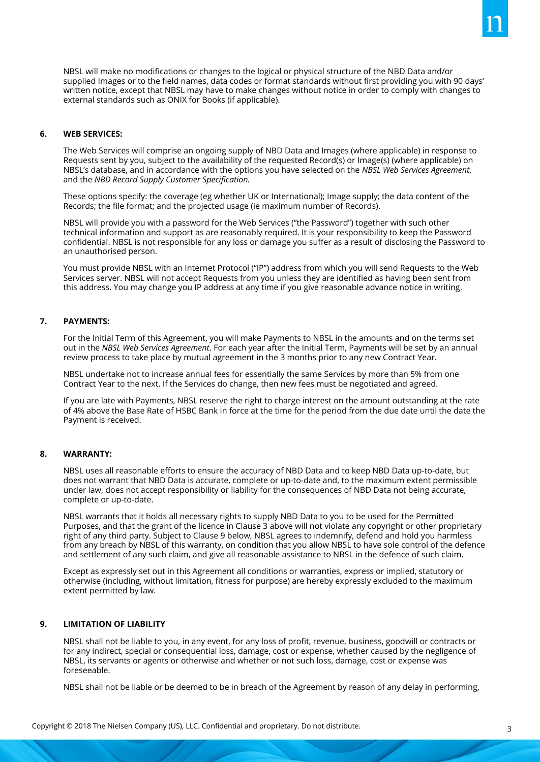NBSL will make no modifications or changes to the logical or physical structure of the NBD Data and/or supplied Images or to the field names, data codes or format standards without first providing you with 90 days' written notice, except that NBSL may have to make changes without notice in order to comply with changes to external standards such as ONIX for Books (if applicable).

#### **6. WEB SERVICES:**

The Web Services will comprise an ongoing supply of NBD Data and Images (where applicable) in response to Requests sent by you, subject to the availability of the requested Record(s) or Image(s) (where applicable) on NBSL's database, and in accordance with the options you have selected on the *NBSL Web Services Agreement*, and the *NBD Record Supply Customer Specification.*

These options specify: the coverage (eg whether UK or International); Image supply; the data content of the Records; the file format; and the projected usage (ie maximum number of Records).

NBSL will provide you with a password for the Web Services ("the Password") together with such other technical information and support as are reasonably required. It is your responsibility to keep the Password confidential. NBSL is not responsible for any loss or damage you suffer as a result of disclosing the Password to an unauthorised person.

You must provide NBSL with an Internet Protocol ("IP") address from which you will send Requests to the Web Services server. NBSL will not accept Requests from you unless they are identified as having been sent from this address. You may change you IP address at any time if you give reasonable advance notice in writing.

# **7. PAYMENTS:**

For the Initial Term of this Agreement, you will make Payments to NBSL in the amounts and on the terms set out in the *NBSL Web Services Agreement*. For each year after the Initial Term, Payments will be set by an annual review process to take place by mutual agreement in the 3 months prior to any new Contract Year.

NBSL undertake not to increase annual fees for essentially the same Services by more than 5% from one Contract Year to the next. If the Services do change, then new fees must be negotiated and agreed.

If you are late with Payments, NBSL reserve the right to charge interest on the amount outstanding at the rate of 4% above the Base Rate of HSBC Bank in force at the time for the period from the due date until the date the Payment is received.

#### **8. WARRANTY:**

NBSL uses all reasonable efforts to ensure the accuracy of NBD Data and to keep NBD Data up-to-date, but does not warrant that NBD Data is accurate, complete or up-to-date and, to the maximum extent permissible under law, does not accept responsibility or liability for the consequences of NBD Data not being accurate, complete or up-to-date.

NBSL warrants that it holds all necessary rights to supply NBD Data to you to be used for the Permitted Purposes, and that the grant of the licence in Clause 3 above will not violate any copyright or other proprietary right of any third party. Subject to Clause 9 below, NBSL agrees to indemnify, defend and hold you harmless from any breach by NBSL of this warranty, on condition that you allow NBSL to have sole control of the defence and settlement of any such claim, and give all reasonable assistance to NBSL in the defence of such claim.

Except as expressly set out in this Agreement all conditions or warranties, express or implied, statutory or otherwise (including, without limitation, fitness for purpose) are hereby expressly excluded to the maximum extent permitted by law.

#### **9. LIMITATION OF LIABILITY**

NBSL shall not be liable to you, in any event, for any loss of profit, revenue, business, goodwill or contracts or for any indirect, special or consequential loss, damage, cost or expense, whether caused by the negligence of NBSL, its servants or agents or otherwise and whether or not such loss, damage, cost or expense was foreseeable.

NBSL shall not be liable or be deemed to be in breach of the Agreement by reason of any delay in performing,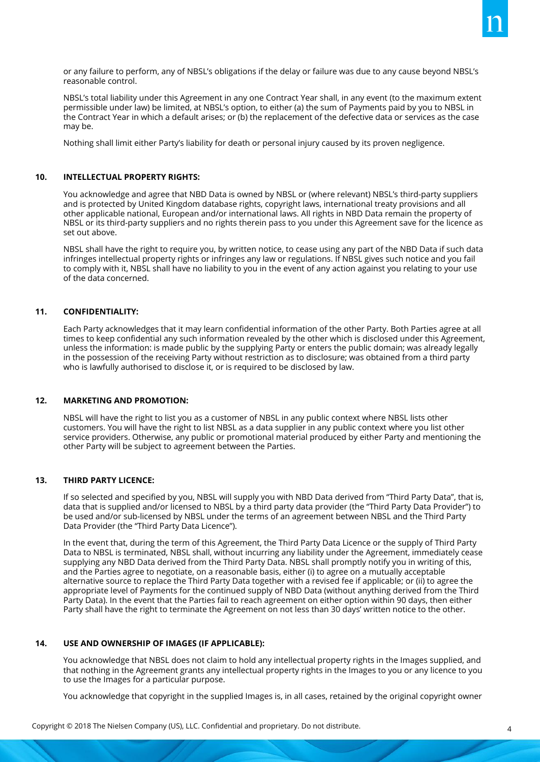or any failure to perform, any of NBSL's obligations if the delay or failure was due to any cause beyond NBSL's reasonable control.

NBSL's total liability under this Agreement in any one Contract Year shall, in any event (to the maximum extent permissible under law) be limited, at NBSL's option, to either (a) the sum of Payments paid by you to NBSL in the Contract Year in which a default arises; or (b) the replacement of the defective data or services as the case may be.

Nothing shall limit either Party's liability for death or personal injury caused by its proven negligence.

# **10. INTELLECTUAL PROPERTY RIGHTS:**

You acknowledge and agree that NBD Data is owned by NBSL or (where relevant) NBSL's third-party suppliers and is protected by United Kingdom database rights, copyright laws, international treaty provisions and all other applicable national, European and/or international laws. All rights in NBD Data remain the property of NBSL or its third-party suppliers and no rights therein pass to you under this Agreement save for the licence as set out above.

NBSL shall have the right to require you, by written notice, to cease using any part of the NBD Data if such data infringes intellectual property rights or infringes any law or regulations. If NBSL gives such notice and you fail to comply with it, NBSL shall have no liability to you in the event of any action against you relating to your use of the data concerned.

## **11. CONFIDENTIALITY:**

Each Party acknowledges that it may learn confidential information of the other Party. Both Parties agree at all times to keep confidential any such information revealed by the other which is disclosed under this Agreement, unless the information: is made public by the supplying Party or enters the public domain; was already legally in the possession of the receiving Party without restriction as to disclosure; was obtained from a third party who is lawfully authorised to disclose it, or is required to be disclosed by law.

#### **12. MARKETING AND PROMOTION:**

NBSL will have the right to list you as a customer of NBSL in any public context where NBSL lists other customers. You will have the right to list NBSL as a data supplier in any public context where you list other service providers. Otherwise, any public or promotional material produced by either Party and mentioning the other Party will be subject to agreement between the Parties.

# **13. THIRD PARTY LICENCE:**

If so selected and specified by you, NBSL will supply you with NBD Data derived from "Third Party Data", that is, data that is supplied and/or licensed to NBSL by a third party data provider (the "Third Party Data Provider") to be used and/or sub-licensed by NBSL under the terms of an agreement between NBSL and the Third Party Data Provider (the "Third Party Data Licence").

In the event that, during the term of this Agreement, the Third Party Data Licence or the supply of Third Party Data to NBSL is terminated, NBSL shall, without incurring any liability under the Agreement, immediately cease supplying any NBD Data derived from the Third Party Data. NBSL shall promptly notify you in writing of this, and the Parties agree to negotiate, on a reasonable basis, either (i) to agree on a mutually acceptable alternative source to replace the Third Party Data together with a revised fee if applicable; or (ii) to agree the appropriate level of Payments for the continued supply of NBD Data (without anything derived from the Third Party Data). In the event that the Parties fail to reach agreement on either option within 90 days, then either Party shall have the right to terminate the Agreement on not less than 30 days' written notice to the other.

# **14. USE AND OWNERSHIP OF IMAGES (IF APPLICABLE):**

You acknowledge that NBSL does not claim to hold any intellectual property rights in the Images supplied, and that nothing in the Agreement grants any intellectual property rights in the Images to you or any licence to you to use the Images for a particular purpose.

You acknowledge that copyright in the supplied Images is, in all cases, retained by the original copyright owner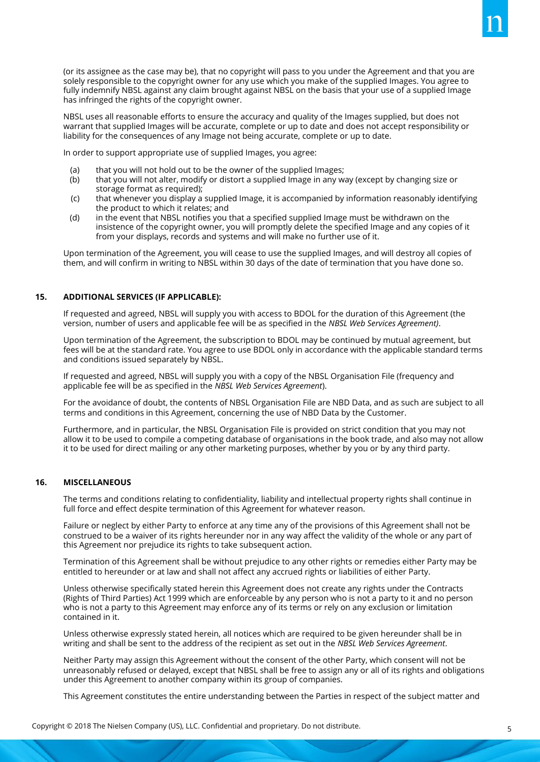(or its assignee as the case may be), that no copyright will pass to you under the Agreement and that you are solely responsible to the copyright owner for any use which you make of the supplied Images. You agree to fully indemnify NBSL against any claim brought against NBSL on the basis that your use of a supplied Image has infringed the rights of the copyright owner.

NBSL uses all reasonable efforts to ensure the accuracy and quality of the Images supplied, but does not warrant that supplied Images will be accurate, complete or up to date and does not accept responsibility or liability for the consequences of any Image not being accurate, complete or up to date.

In order to support appropriate use of supplied Images, you agree:

- (a) that you will not hold out to be the owner of the supplied Images;
- (b) that you will not alter, modify or distort a supplied Image in any way (except by changing size or storage format as required);
- (c) that whenever you display a supplied Image, it is accompanied by information reasonably identifying the product to which it relates; and
- (d) in the event that NBSL notifies you that a specified supplied Image must be withdrawn on the insistence of the copyright owner, you will promptly delete the specified Image and any copies of it from your displays, records and systems and will make no further use of it.

Upon termination of the Agreement, you will cease to use the supplied Images, and will destroy all copies of them, and will confirm in writing to NBSL within 30 days of the date of termination that you have done so.

# **15. ADDITIONAL SERVICES (IF APPLICABLE):**

If requested and agreed, NBSL will supply you with access to BDOL for the duration of this Agreement (the version, number of users and applicable fee will be as specified in the *NBSL Web Services Agreement)*.

Upon termination of the Agreement, the subscription to BDOL may be continued by mutual agreement, but fees will be at the standard rate. You agree to use BDOL only in accordance with the applicable standard terms and conditions issued separately by NBSL.

If requested and agreed, NBSL will supply you with a copy of the NBSL Organisation File (frequency and applicable fee will be as specified in the *NBSL Web Services Agreement*).

For the avoidance of doubt, the contents of NBSL Organisation File are NBD Data, and as such are subject to all terms and conditions in this Agreement, concerning the use of NBD Data by the Customer.

Furthermore, and in particular, the NBSL Organisation File is provided on strict condition that you may not allow it to be used to compile a competing database of organisations in the book trade, and also may not allow it to be used for direct mailing or any other marketing purposes, whether by you or by any third party.

# **16. MISCELLANEOUS**

The terms and conditions relating to confidentiality, liability and intellectual property rights shall continue in full force and effect despite termination of this Agreement for whatever reason.

Failure or neglect by either Party to enforce at any time any of the provisions of this Agreement shall not be construed to be a waiver of its rights hereunder nor in any way affect the validity of the whole or any part of this Agreement nor prejudice its rights to take subsequent action.

Termination of this Agreement shall be without prejudice to any other rights or remedies either Party may be entitled to hereunder or at law and shall not affect any accrued rights or liabilities of either Party.

Unless otherwise specifically stated herein this Agreement does not create any rights under the Contracts (Rights of Third Parties) Act 1999 which are enforceable by any person who is not a party to it and no person who is not a party to this Agreement may enforce any of its terms or rely on any exclusion or limitation contained in it.

Unless otherwise expressly stated herein, all notices which are required to be given hereunder shall be in writing and shall be sent to the address of the recipient as set out in the *NBSL Web Services Agreement*.

Neither Party may assign this Agreement without the consent of the other Party, which consent will not be unreasonably refused or delayed, except that NBSL shall be free to assign any or all of its rights and obligations under this Agreement to another company within its group of companies.

This Agreement constitutes the entire understanding between the Parties in respect of the subject matter and